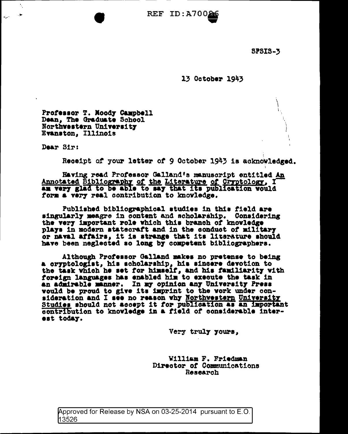$REF$  ID:A700 $S$ 

**SPSIS-3** 

 $13$  October  $1943$ 

Professor T. Moody Campbell Dean, The Graduate School Northwestern University Evanston, Illinois

Dear Sir:

Receipt of your letter of 9 October 1943 is acknowledged.

Having read Professor Galland's manuscript entitled An Annotated Bibliography of the Literature of Cryptology, I am very glad to be able to say that its publication would form a very real contribution to knowledge.

Published bibliographical studies in this field are singularly meagre in content and scholarship. Considering the very important role which this branch of knowledge plays in modern statecraft and in the conduct of military or naval affairs, it is strange that its literature should have been neglected so long by competent bibliographers.

Although Professor Galland makes no pretense to being a oryptologist, his scholarship, his sincere devotion to<br>the task which he set for himself, and his familiarity with foreign languages has enabled him to execute the task in an admirable manner. In my opinion any University Press would be proud to give its imprint to the work under consideration and I see no reason why Northwestern University Studies should not accept it for publication as an important contribution to knowledge in a field of considerable interest today.

Very truly yours,

William F. Friedman Director of Communications Research

Approved for Release by NSA on 03-25-2014 pursuant to E.O. 13526